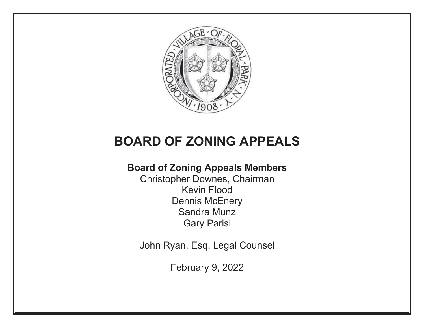

# **BOARD OF ZONING APPEALS**

# **Board of Zoning Appeals Members**

Christopher Downes, Chairman Kevin Flood Dennis McEnery Sandra Munz Gary Parisi

John Ryan, Esq. Legal Counsel

February 9, 2022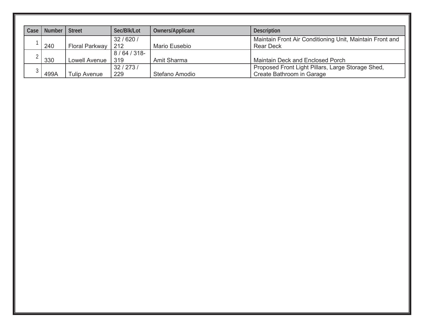| Case | <b>Number</b> | <b>Street</b>         | Sec/Blk/Lot         | Owners/Applicant | <b>Description</b>                                                             |
|------|---------------|-----------------------|---------------------|------------------|--------------------------------------------------------------------------------|
|      | 240           | <b>Floral Parkway</b> | 32/620/<br>212      | Mario Eusebio    | Maintain Front Air Conditioning Unit, Maintain Front and<br><b>Rear Deck</b>   |
|      | 330           | Lowell Avenue         | $8/64/318$ -<br>319 | Amit Sharma      | Maintain Deck and Enclosed Porch                                               |
|      | 499A          | Tulip Avenue          | 32/273/<br>229      | Stefano Amodio   | Proposed Front Light Pillars, Large Storage Shed,<br>Create Bathroom in Garage |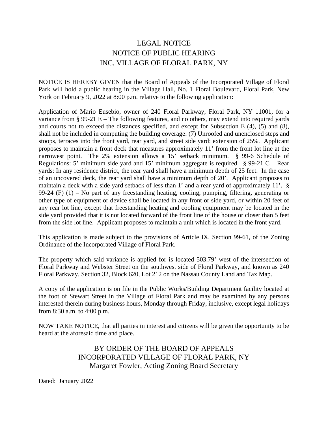# LEGAL NOTICE NOTICE OF PUBLIC HEARING INC. VILLAGE OF FLORAL PARK, NY

NOTICE IS HEREBY GIVEN that the Board of Appeals of the Incorporated Village of Floral Park will hold a public hearing in the Village Hall, No. 1 Floral Boulevard, Floral Park, New York on February 9, 2022 at 8:00 p.m. relative to the following application:

Application of Mario Eusebio, owner of 240 Floral Parkway, Floral Park, NY 11001, for a variance from § 99-21 E – The following features, and no others, may extend into required yards and courts not to exceed the distances specified, and except for Subsection E (4), (5) and (8), shall not be included in computing the building coverage: (7) Unroofed and unenclosed steps and stoops, terraces into the front yard, rear yard, and street side yard: extension of 25%. Applicant proposes to maintain a front deck that measures approximately 11' from the front lot line at the narrowest point. The 2% extension allows a 15' setback minimum. § 99-6 Schedule of Regulations: 5' minimum side yard and 15' minimum aggregate is required. § 99-21 C – Rear yards: In any residence district, the rear yard shall have a minimum depth of 25 feet. In the case of an uncovered deck, the rear yard shall have a minimum depth of 20'. Applicant proposes to maintain a deck with a side yard setback of less than 1' and a rear yard of approximately 11'. § 99-24 (F) (1) – No part of any freestanding heating, cooling, pumping, filtering, generating or other type of equipment or device shall be located in any front or side yard, or within 20 feet of any rear lot line, except that freestanding heating and cooling equipment may be located in the side yard provided that it is not located forward of the front line of the house or closer than 5 feet from the side lot line. Applicant proposes to maintain a unit which is located in the front yard.

This application is made subject to the provisions of Article IX, Section 99-61, of the Zoning Ordinance of the Incorporated Village of Floral Park.

The property which said variance is applied for is located 503.79' west of the intersection of Floral Parkway and Webster Street on the southwest side of Floral Parkway, and known as 240 Floral Parkway, Section 32, Block 620, Lot 212 on the Nassau County Land and Tax Map.

A copy of the application is on file in the Public Works/Building Department facility located at the foot of Stewart Street in the Village of Floral Park and may be examined by any persons interested therein during business hours, Monday through Friday, inclusive, except legal holidays from 8:30 a.m. to 4:00 p.m.

NOW TAKE NOTICE, that all parties in interest and citizens will be given the opportunity to be heard at the aforesaid time and place.

> BY ORDER OF THE BOARD OF APPEALS INCORPORATED VILLAGE OF FLORAL PARK, NY Margaret Fowler, Acting Zoning Board Secretary

Dated: January 2022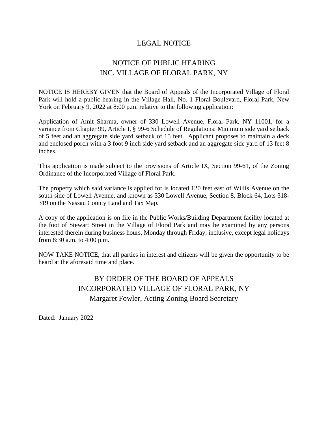#### LEGAL NOTICE

# NOTICE OF PUBLIC HEARING INC. VILLAGE OF FLORAL PARK, NY

NOTICE IS HEREBY GIVEN that the Board of Appeals of the Incorporated Village of Floral Park will hold a public hearing in the Village Hall, No. 1 Floral Boulevard, Floral Park, New York on February 9, 2022 at 8:00 p.m. relative to the following application:

Application of Amit Sharma, owner of 330 Lowell Avenue, Floral Park, NY 11001, for a variance from Chapter 99, Article I, § 99-6 Schedule of Regulations: Minimum side yard setback of 5 feet and an aggregate side yard setback of 15 feet. Applicant proposes to maintain a deck and enclosed porch with a 3 foot 9 inch side yard setback and an aggregate side yard of 13 feet 8 inches.

This application is made subject to the provisions of Article IX, Section 99-61, of the Zoning Ordinance of the Incorporated Village of Floral Park.

The property which said variance is applied for is located 120 feet east of Willis Avenue on the south side of Lowell Avenue, and known as 330 Lowell Avenue, Section 8, Block 64, Lots 318- 319 on the Nassau County Land and Tax Map.

A copy of the application is on file in the Public Works/Building Department facility located at the foot of Stewart Street in the Village of Floral Park and may be examined by any persons interested therein during business hours, Monday through Friday, inclusive, except legal holidays from 8:30 a.m. to 4:00 p.m.

NOW TAKE NOTICE, that all parties in interest and citizens will be given the opportunity to be heard at the aforesaid time and place.

# BY ORDER OF THE BOARD OF APPEALS INCORPORATED VILLAGE OF FLORAL PARK, NY Margaret Fowler, Acting Zoning Board Secretary

Dated: January 2022